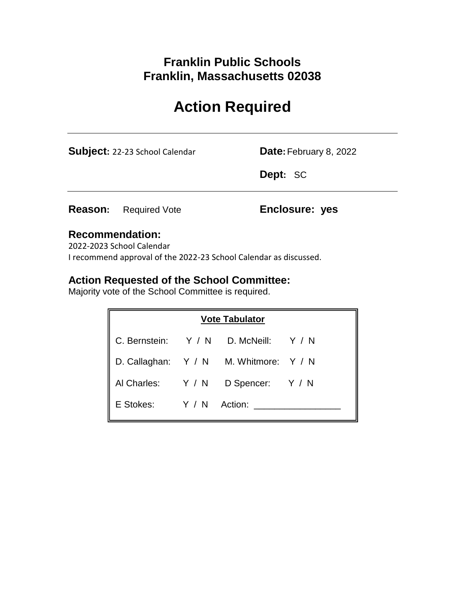# **Franklin Public Schools Franklin, Massachusetts 02038**

# **Action Required**

**Subject:** 22-23 School Calendar **Date:** February 8, 2022

**Dept:** SC

**Reason:** Required Vote **Enclosure: yes**

### **Recommendation:**

2022-2023 School Calendar I recommend approval of the 2022-23 School Calendar as discussed.

### **Action Requested of the School Committee:**

Majority vote of the School Committee is required.

|                         | <b>Vote Tabulator</b>                  |  |
|-------------------------|----------------------------------------|--|
|                         | C. Bernstein: Y / N D. McNeill: Y / N  |  |
|                         | D. Callaghan: Y / N M. Whitmore: Y / N |  |
| Al Charles: Y / N       | D Spencer: Y / N                       |  |
| E Stokes: Y / N Action: |                                        |  |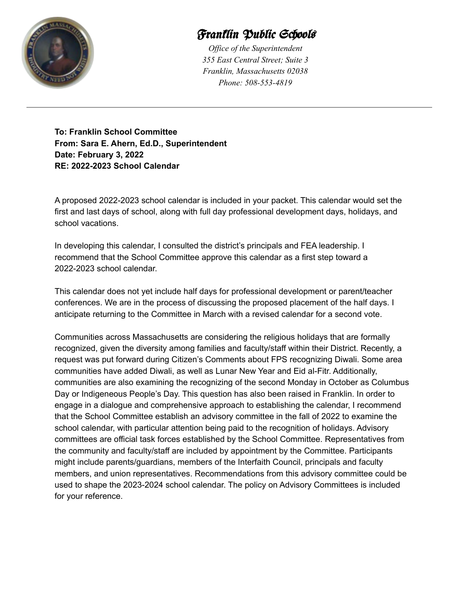

# Franklin Public Schools

*Of ice of the Superintendent 355 East Central Street; Suite 3 Franklin, Massachusetts 02038 Phone: 508-553-4819*

**To: Franklin School Committee From: Sara E. Ahern, Ed.D., Superintendent Date: February 3, 2022 RE: 2022-2023 School Calendar**

A proposed 2022-2023 school calendar is included in your packet. This calendar would set the first and last days of school, along with full day professional development days, holidays, and school vacations.

In developing this calendar, I consulted the district's principals and FEA leadership. I recommend that the School Committee approve this calendar as a first step toward a 2022-2023 school calendar.

This calendar does not yet include half days for professional development or parent/teacher conferences. We are in the process of discussing the proposed placement of the half days. I anticipate returning to the Committee in March with a revised calendar for a second vote.

Communities across Massachusetts are considering the religious holidays that are formally recognized, given the diversity among families and faculty/staff within their District. Recently, a request was put forward during Citizen's Comments about FPS recognizing Diwali. Some area communities have added Diwali, as well as Lunar New Year and Eid al-Fitr. Additionally, communities are also examining the recognizing of the second Monday in October as Columbus Day or Indigeneous People's Day. This question has also been raised in Franklin. In order to engage in a dialogue and comprehensive approach to establishing the calendar, I recommend that the School Committee establish an advisory committee in the fall of 2022 to examine the school calendar, with particular attention being paid to the recognition of holidays. Advisory committees are official task forces established by the School Committee. Representatives from the community and faculty/staff are included by appointment by the Committee. Participants might include parents/guardians, members of the Interfaith Council, principals and faculty members, and union representatives. Recommendations from this advisory committee could be used to shape the 2023-2024 school calendar. The policy on Advisory Committees is included for your reference.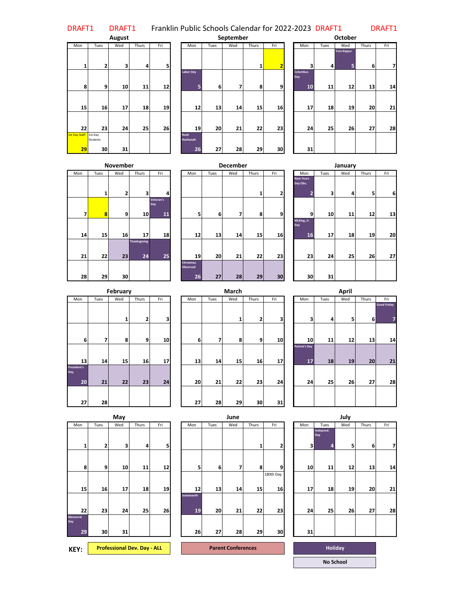DRAFT1 DRAFT1 Franklin Public Schools Calendar for 2022-2023 DRAFT1 DRAFT1

|                            |                           | August |       |     |
|----------------------------|---------------------------|--------|-------|-----|
| Mon                        | Tues                      | Wed    | Thurs | Fri |
| 1                          | $\overline{2}$            | 3      | 4     | 5   |
| 8                          | 9                         | 10     | 11    | 12  |
| 15                         | 16                        | 17     | 18    | 19  |
| 22                         | 23                        | 24     | 25    | 26  |
| <b>1st Day Staff</b><br>29 | 1st Day<br>Students<br>30 | 31     |       |     |

| Tues    | Wed             | Thurs | Fri |                     | Mon | Tues                                        | Wed | Thurs | Fri |    | Mon      | Tues                   | Wed | Thurs                              | Fri |
|---------|-----------------|-------|-----|---------------------|-----|---------------------------------------------|-----|-------|-----|----|----------|------------------------|-----|------------------------------------|-----|
|         |                 |       |     |                     |     |                                             |     |       |     |    |          |                        |     |                                    |     |
|         |                 |       |     |                     |     |                                             |     |       |     |    |          |                        |     |                                    |     |
| 2       | 3               |       | 5   |                     |     |                                             |     | 1     | 2   |    | 3        |                        | 5   | 6                                  | 7   |
|         |                 |       |     |                     |     |                                             |     |       |     |    |          |                        |     |                                    |     |
|         |                 |       |     |                     |     |                                             |     |       |     |    |          |                        |     |                                    |     |
| 9       | 10              |       | 12  |                     | 5   | 6                                           | 7   | 8     | 9   |    | 10       | 11                     | 12  | 13                                 | 14  |
|         |                 |       |     |                     |     |                                             |     |       |     |    |          |                        |     |                                    |     |
|         |                 |       |     |                     |     |                                             |     |       |     |    |          |                        |     |                                    |     |
| 16      | 17              |       | 19  |                     | 12  | 13                                          | 14  | 15    |     |    | 17       |                        | 19  | 20                                 | 21  |
|         |                 |       |     |                     |     |                                             |     |       |     |    |          |                        |     |                                    |     |
|         |                 |       |     |                     |     |                                             |     |       |     |    |          |                        |     |                                    |     |
| 23      | 24              |       | 26  |                     | 19  | 20                                          | 21  | 22    |     |    | 24       | 25                     | 26  | 27                                 | 28  |
| 1st Day |                 |       |     |                     |     |                                             |     |       |     |    |          |                        |     |                                    |     |
|         |                 |       |     |                     |     |                                             |     |       |     |    |          |                        |     |                                    |     |
| 30      | 31              |       |     |                     |     | 27                                          | 28  |       | 30  |    | 31       |                        |     |                                    |     |
|         | <b>Students</b> |       |     | 4<br>11<br>18<br>25 |     | <b>Labor Day</b><br><b>Rosh</b><br>Hashanah | 26  |       |     | 29 | 16<br>23 | <b>Columbus</b><br>Day |     | Yom Kippur<br>$\overline{4}$<br>18 |     |

|    | September |       |                |                              |      | <b>October</b>         |       |     |
|----|-----------|-------|----------------|------------------------------|------|------------------------|-------|-----|
|    | Wed       | Thurs | Fri            | Mon                          | Tues | Wed                    | Thurs | Fri |
|    |           | 1     | $\overline{2}$ | 3                            | 4    | <b>Yom Kippur</b><br>5 | 6     | 7   |
| 6  | 7         | 8     | 9              | <b>Columbus</b><br>Day<br>10 | 11   | 12                     | 13    | 14  |
| 13 | 14        | 15    | 16             | 17                           | 18   | 19                     | 20    | 21  |
| 20 | 21        | 22    | 23             | 24                           | 25   | 26                     | 27    | 28  |
| 27 | 28        | 29    | 30             | 31                           |      |                        |       |     |

|     |      | <b>November</b> |                           |                        |
|-----|------|-----------------|---------------------------|------------------------|
| Mon | Tues | Wed             | Thurs                     | Fri                    |
|     | 1    | 2               | 3                         | 4                      |
| 7   | 8    | 9               | 10                        | Veteran's<br>Day<br>11 |
| 14  | 15   | 16              | 17                        | 18                     |
| 21  | 22   | 23              | <b>Thanksgiving</b><br>24 | 25                     |
| 28  | 29   | 30              |                           |                        |

|     |          | <b>November</b> |                    |                        |                                    |      | <b>December</b> |       |     |                                   |      | January |       |     |
|-----|----------|-----------------|--------------------|------------------------|------------------------------------|------|-----------------|-------|-----|-----------------------------------|------|---------|-------|-----|
| Mon | Tues     | Wed             | Thurs              | Fri                    | Mon                                | Tues | Wed             | Thurs | Fri | Mon                               | Tues | Wed     | Thurs | Fri |
|     | 1        | 2               | 3                  | 4                      |                                    |      |                 | 1     | 2   | <b>New Years</b><br>Day Obs.<br>2 | 3    | 4       | 5     |     |
| 7   | $\bf{8}$ | 9               | 10 <sub>1</sub>    | Veteran's<br>Day<br>11 | 5                                  | 6    | 7               | 8     | 9   | 9                                 | 10   | 11      | 12    |     |
| 14  | 15       | 16              | 17                 | 18                     | 12                                 | 13   | 14              | 15    | 16  | MLKing, Jr.<br>Day<br>16          | 17   | 18      | 19    |     |
| 21  | 22       | 23              | Thanksgiving<br>24 | 25                     | 19                                 | 20   | 21              | 22    | 23  | 23                                | 24   | 25      | 26    |     |
| 28  | 29       | 30              |                    |                        | <b>Christmas</b><br>Observed<br>26 | 27   | 28              | 29    | 30  | 30                                | 31   |         |       |     |

|                |      | <b>November</b> |                         |                        |                                    |      | <b>December</b> |       |     |                                                |      | January |       |     |
|----------------|------|-----------------|-------------------------|------------------------|------------------------------------|------|-----------------|-------|-----|------------------------------------------------|------|---------|-------|-----|
|                | Tues | Wed             | Thurs                   | Fri                    | Mon                                | Tues | Wed             | Thurs | Fri | Mon                                            | Tues | Wed     | Thurs | Fri |
|                | 1    | 2               | $\overline{\mathbf{3}}$ | 4                      |                                    |      |                 | 1     | 2   | <b>New Years</b><br>Day Obs.<br>$\overline{2}$ | 3    | 4       | 5     | 6   |
| $\overline{7}$ | 8    | 9               | 10 <sup>1</sup>         | Veteran's<br>Day<br>11 | 5 <sub>1</sub>                     | 6    | 7               | 8     | 9   | 9                                              | 10   | 11      | 12    | 13  |
| 14             | 15   | 16              | 17                      | 18                     | 12                                 | 13   | 14              | 15    | 16  | MLKing, Jr.<br>Day<br>16                       | 17   | 18      | 19    | 20  |
| 21             | 22   | 23              | Thanksgiving<br>24      | 25                     | 19                                 | 20   | 21              | 22    | 23  | 23                                             | 24   | 25      | 26    | 27  |
| 28             | 29   | 30              |                         |                        | <b>Christmas</b><br>Observed<br>26 | 27   | 28              | 29    | 30  | 30                                             | 31   |         |       |     |

|                                 |      | February |                         |     |
|---------------------------------|------|----------|-------------------------|-----|
| Mon                             | Tues | Wed      | Thurs                   | Fri |
|                                 |      | 1        | $\overline{\mathbf{z}}$ | 3   |
| 6                               | 7    | 8        | 9                       | 10  |
| 13                              | 14   | 15       | 16                      | 17  |
| <b>President's</b><br>Day<br>20 | 21   | 22       | 23                      | 24  |
| 27                              | 28   |          |                         |     |

|               |      | February |       |     | March |      |     |       |     |  |                            |      | April |       |          |
|---------------|------|----------|-------|-----|-------|------|-----|-------|-----|--|----------------------------|------|-------|-------|----------|
| Mon           | Tues | Wed      | Thurs | Fri | Mon   | Tues | Wed | Thurs | Fri |  | Mon                        | Tues | Wed   | Thurs | Fri      |
|               |      | 1        | 2     | 3   |       |      | 1   | 2     | 3   |  | 3                          | 4    | 5     | 6     | Good Fri |
| 6             | 7    | 8        | 9     | 10  | 6     | 7    | 8   | 9     | 10  |  | 10                         | 11   | 12    | 13    |          |
| 13            | 14   | 15       | 16    | 17  | 13    | 14   | 15  | 16    | 17  |  | <b>Patriot's Day</b><br>17 | 18   | 19    | 20    |          |
| ident's<br>20 | 21   | 22       | 23    | 24  | 20    | 21   | 22  | 23    | 24  |  | 24                         | 25   | 26    | 27    |          |
| 27            | 28   |          |       |     | 27    | 28   | 29  | 30    | 31  |  |                            |      |       |       |          |

|          |      | February |       |     |    | March<br>Wed<br>Thurs<br>Tues<br>Fri<br>Mon |    |                |    |  |                            |                | April |                |                    |
|----------|------|----------|-------|-----|----|---------------------------------------------|----|----------------|----|--|----------------------------|----------------|-------|----------------|--------------------|
|          | Tues | Wed      | Thurs | Fri |    |                                             |    |                |    |  | Mon                        | Tues           | Wed   | Thurs          | Fri                |
|          |      | 1        | 2     | 3   |    |                                             | 1  | 2              | 3  |  | $\mathbf{3}$               | $\overline{4}$ | 5     | 6 <sup>1</sup> | <b>Good Friday</b> |
| 6        | 7    | 8        | 9     | 10  | 6  | 7                                           | 8  | 9 <sub>l</sub> | 10 |  | 10                         | 11             | 12    | 13             | 14                 |
| 13       | 14   | 15       | 16    | 17  | 13 | 14                                          | 15 | 16             | 17 |  | <b>Patriot's Day</b><br>17 | 18             | 19    | 20             | 21                 |
| 's<br>20 | 21   | 22       | 23    | 24  | 20 | 21                                          | 22 | 23             | 24 |  | 24                         | 25             | 26    | 27             | 28                 |
| 27       | 28   |          |       |     | 27 | 28                                          | 29 | 30             | 31 |  |                            |                |       |                |                    |

|                       |      | May |       |     |                         |      | June |       |                 |     |                       | July |       |     |
|-----------------------|------|-----|-------|-----|-------------------------|------|------|-------|-----------------|-----|-----------------------|------|-------|-----|
| Mon                   | Tues | Wed | Thurs | Fri | Mon                     | Tues | Wed  | Thurs | Fri             | Mon | Tues                  | Wed  | Thurs | Fri |
| 1                     | 2    | 3   | 4     | 5   |                         |      |      | 1     | 2               | 3   | Independ.<br>Day<br>4 | 5    | 6     |     |
| 8                     | 9    | 10  | 11    | 12  | 5                       | 6    | 7    | 8     | 9               | 10  | 11                    | 12   | 13    |     |
| 15                    | 16   | 17  | 18    | 19  | 12                      | 13   | 14   | 15    | 180th Day<br>16 | 17  | 18                    | 19   | 20    |     |
| 22                    | 23   | 24  | 25    | 26  | <b>Juneteenth</b><br>19 | 20   | 21   | 22    | 23              | 24  | 25                    | 26   | 27    |     |
| Memorial<br>Day<br>29 | 30   | 31  |       |     | 26                      | 27   | 28   | 29    | 30              | 31  |                       |      |       |     |
|                       |      |     |       |     |                         |      |      |       |                 |     |                       |      |       |     |

| KEY: | <b>Professional Dev. Day - ALL</b> |  | <b>Parent Conferences</b> |  | Holiday |
|------|------------------------------------|--|---------------------------|--|---------|
|------|------------------------------------|--|---------------------------|--|---------|

|              |      | May |                         |     | June                    |      |     |                |                 |  | July |                       |     |       |     |  |
|--------------|------|-----|-------------------------|-----|-------------------------|------|-----|----------------|-----------------|--|------|-----------------------|-----|-------|-----|--|
|              | Tues | Wed | Thurs                   | Fri | Mon                     | Tues | Wed | Thurs          | Fri             |  | Mon  | Tues                  | Wed | Thurs | Fri |  |
| $\mathbf{1}$ | 2    | 3   | $\overline{\mathbf{a}}$ | 5   |                         |      |     | 1 <sub>1</sub> | $\overline{2}$  |  | 3    | Independ.<br>Day<br>4 | 5   | 6     | 7   |  |
| 8            | 9    | 10  | 11                      | 12  | 5                       | 6    | 7   | 8              | 9               |  | 10   | 11                    | 12  | 13    | 14  |  |
| 15           | 16   | 17  | 18                      | 19  | 12                      | 13   | 14  | 15             | 180th Day<br>16 |  | 17   | 18                    | 19  | 20    | 21  |  |
| 22           | 23   | 24  | 25                      | 26  | <b>Juneteenth</b><br>19 | 20   | 21  | 22             | 23              |  | 24   | 25                    | 26  | 27    | 28  |  |
| 29           | 30   | 31  |                         |     | 26                      | 27   | 28  | 29             | 30              |  | 31   |                       |     |       |     |  |

**No School**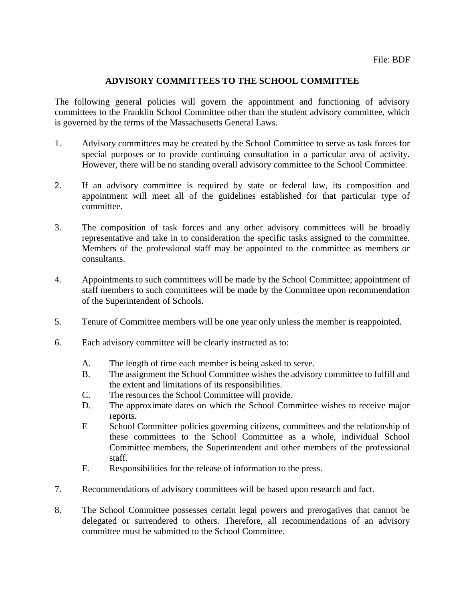#### **ADVISORY COMMITTEES TO THE SCHOOL COMMITTEE**

The following general policies will govern the appointment and functioning of advisory committees to the Franklin School Committee other than the student advisory committee, which is governed by the terms of the Massachusetts General Laws.

- 1. Advisory committees may be created by the School Committee to serve as task forces for special purposes or to provide continuing consultation in a particular area of activity. However, there will be no standing overall advisory committee to the School Committee.
- 2. If an advisory committee is required by state or federal law, its composition and appointment will meet all of the guidelines established for that particular type of committee.
- 3. The composition of task forces and any other advisory committees will be broadly representative and take in to consideration the specific tasks assigned to the committee. Members of the professional staff may be appointed to the committee as members or consultants.
- 4. Appointments to such committees will be made by the School Committee; appointment of staff members to such committees will be made by the Committee upon recommendation of the Superintendent of Schools.
- 5. Tenure of Committee members will be one year only unless the member is reappointed.
- 6. Each advisory committee will be clearly instructed as to:
	- A. The length of time each member is being asked to serve.
	- B. The assignment the School Committee wishes the advisory committee to fulfill and the extent and limitations of its responsibilities.
	- C. The resources the School Committee will provide.
	- D. The approximate dates on which the School Committee wishes to receive major reports.
	- E School Committee policies governing citizens, committees and the relationship of these committees to the School Committee as a whole, individual School Committee members, the Superintendent and other members of the professional staff.
	- F. Responsibilities for the release of information to the press.
- 7. Recommendations of advisory committees will be based upon research and fact.
- 8. The School Committee possesses certain legal powers and prerogatives that cannot be delegated or surrendered to others. Therefore, all recommendations of an advisory committee must be submitted to the School Committee.